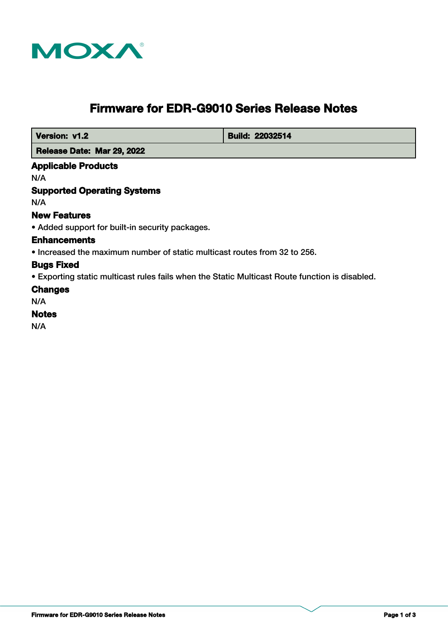

# **Firmware for EDR-G9010 Series Release Notes**

 **Version: v1.2 Build: 22032514** 

 **Release Date: Mar 29, 2022**

# **Applicable Products**

N/A

# **Supported Operating Systems**

N/A

## **New Features**

• Added support for built-in security packages.

#### **Enhancements**

• Increased the maximum number of static multicast routes from 32 to 256.

# **Bugs Fixed**

• Exporting static multicast rules fails when the Static Multicast Route function is disabled.

#### **Changes**

N/A

# **Notes**

N/A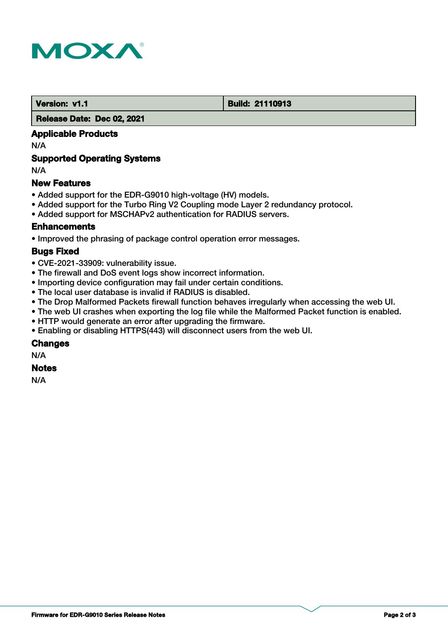

#### **Version: v1.1 Build: 21110913**

 **Release Date: Dec 02, 2021**

# **Applicable Products**

N/A

# **Supported Operating Systems**

N/A

## **New Features**

- Added support for the EDR-G9010 high-voltage (HV) models.
- Added support for the Turbo Ring V2 Coupling mode Layer 2 redundancy protocol.
- Added support for MSCHAPv2 authentication for RADIUS servers.

#### **Enhancements**

• Improved the phrasing of package control operation error messages.

#### **Bugs Fixed**

- CVE-2021-33909: vulnerability issue.
- The firewall and DoS event logs show incorrect information.
- Importing device configuration may fail under certain conditions.
- The local user database is invalid if RADIUS is disabled.
- The Drop Malformed Packets firewall function behaves irregularly when accessing the web UI.
- The web UI crashes when exporting the log file while the Malformed Packet function is enabled.
- HTTP would generate an error after upgrading the firmware.
- Enabling or disabling HTTPS(443) will disconnect users from the web UI.

#### **Changes**

N/A

#### **Notes**

N/A